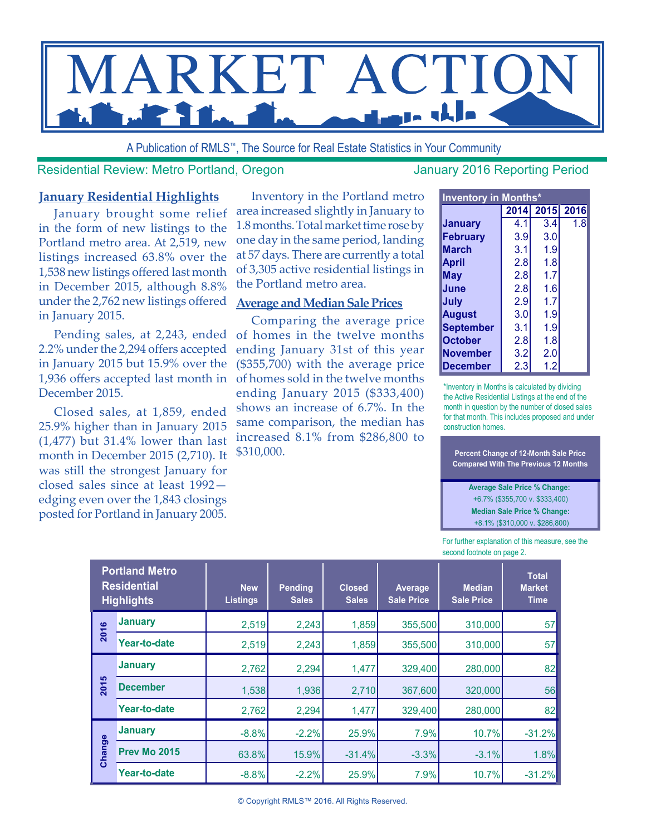

A Publication of RMLS™, The Source for Real Estate Statistics in Your Community

Residential Review: Metro Portland, Oregon January 2016 Reporting Period

#### **January Residential Highlights**

January brought some relief in the form of new listings to the Portland metro area. At 2,519, new listings increased 63.8% over the 1,538 new listings offered last month in December 2015, although 8.8% under the 2,762 new listings offered in January 2015.

Pending sales, at 2,243, ended 2.2% under the 2,294 offers accepted in January 2015 but 15.9% over the 1,936 offers accepted last month in December 2015.

Closed sales, at 1,859, ended 25.9% higher than in January 2015 (1,477) but 31.4% lower than last month in December 2015 (2,710). It was still the strongest January for closed sales since at least 1992 edging even over the 1,843 closings posted for Portland in January 2005.

Inventory in the Portland metro area increased slightly in January to 1.8 months. Total market time rose by one day in the same period, landing at 57 days. There are currently a total of 3,305 active residential listings in the Portland metro area.

#### **Average and Median Sale Prices**

Comparing the average price of homes in the twelve months ending January 31st of this year (\$355,700) with the average price of homes sold in the twelve months ending January 2015 (\$333,400) shows an increase of 6.7%. In the same comparison, the median has increased 8.1% from \$286,800 to \$310,000.

| <b>Inventory in Months*</b> |      |     |           |  |  |  |  |  |  |  |  |
|-----------------------------|------|-----|-----------|--|--|--|--|--|--|--|--|
|                             | 2014 |     | 2015 2016 |  |  |  |  |  |  |  |  |
| <b>January</b>              | 4.1  | 3.4 | 1.8       |  |  |  |  |  |  |  |  |
| <b>February</b>             | 3.9  | 3.0 |           |  |  |  |  |  |  |  |  |
| <b>March</b>                | 3.1  | 1.9 |           |  |  |  |  |  |  |  |  |
| April                       | 2.8  | 1.8 |           |  |  |  |  |  |  |  |  |
| May                         | 2.8  | 1.7 |           |  |  |  |  |  |  |  |  |
| June                        | 2.8  | 1.6 |           |  |  |  |  |  |  |  |  |
| July                        | 2.9  | 1.7 |           |  |  |  |  |  |  |  |  |
| <b>August</b>               | 3.0  | 1.9 |           |  |  |  |  |  |  |  |  |
| <b>September</b>            | 3.1  | 1.9 |           |  |  |  |  |  |  |  |  |
| <b>October</b>              | 2.8  | 1.8 |           |  |  |  |  |  |  |  |  |
| <b>November</b>             | 3.2  | 2.0 |           |  |  |  |  |  |  |  |  |
| December                    | 2.3  | 1.2 |           |  |  |  |  |  |  |  |  |

\*Inventory in Months is calculated by dividing the Active Residential Listings at the end of the month in question by the number of closed sales for that month. This includes proposed and under construction homes.

**Percent Change of 12-Month Sale Price Compared With The Previous 12 Months** 

**Average Sale Price % Change:**  +6.7% (\$355,700 v. \$333,400) **Median Sale Price % Change:** +8.1% (\$310,000 v. \$286,800)

For further explanation of this measure, see the second footnote on page 2.

|           | <b>Portland Metro</b><br><b>Residential</b><br><b>Highlights</b> | <b>New</b><br><b>Listings</b> | <b>Pending</b><br><b>Sales</b> | <b>Closed</b><br><b>Sales</b> | Average<br><b>Sale Price</b> | <b>Median</b><br><b>Sale Price</b> | <b>Total</b><br><b>Market</b><br><b>Time</b> |  |
|-----------|------------------------------------------------------------------|-------------------------------|--------------------------------|-------------------------------|------------------------------|------------------------------------|----------------------------------------------|--|
| $\bullet$ | <b>January</b>                                                   | 2,519                         | 2,243                          | 1,859                         | 355,500                      | 310,000                            | 57                                           |  |
| 201       | Year-to-date                                                     | 2,519                         | 2,243                          | 1,859                         | 355,500                      | 310,000                            | 57                                           |  |
|           | <b>January</b>                                                   | 2,762                         | 2,294                          | 1,477                         | 329,400                      | 280,000                            | 82                                           |  |
| 2015      | <b>December</b>                                                  | 1,538                         | 1,936                          | 2,710                         | 367,600                      | 320,000                            | 56                                           |  |
|           | <b>Year-to-date</b>                                              | 2,762                         | 2,294                          | 1,477                         | 329,400                      | 280,000                            | 82                                           |  |
|           | <b>January</b>                                                   | $-8.8%$                       | $-2.2%$                        | 25.9%                         | 7.9%                         | 10.7%                              | $-31.2%$                                     |  |
| Change    | <b>Prev Mo 2015</b>                                              | 63.8%                         | 15.9%                          | $-31.4%$                      | $-3.3%$                      | $-3.1%$                            | 1.8%                                         |  |
|           | Year-to-date                                                     | $-8.8%$                       | $-2.2%$                        | 25.9%                         | 7.9%                         | 10.7%                              | $-31.2%$                                     |  |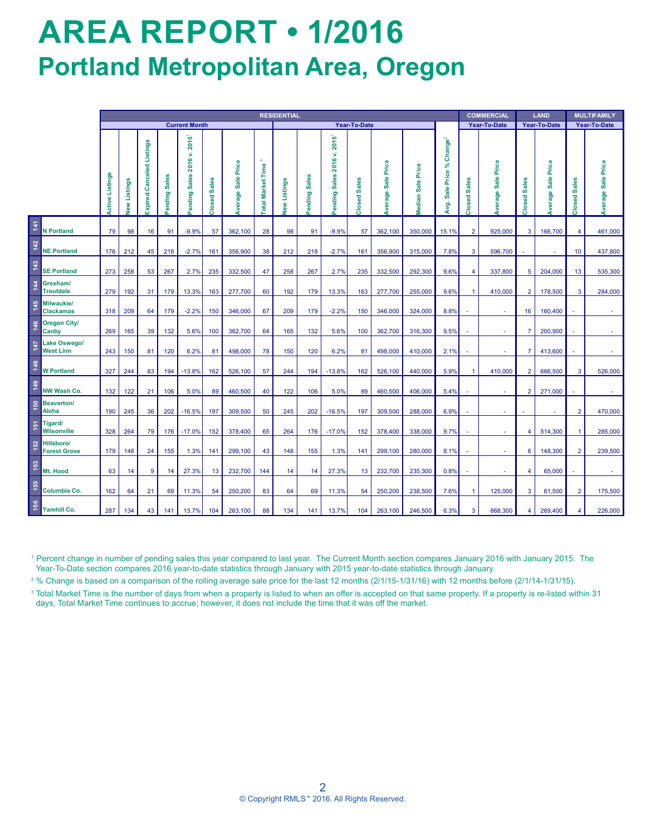# **AREA REPORT • 1/2016 Portland Metropolitan Area, Oregon**

|       |                                                                                                                                                                                                                                                                                                                                                                                                                                                                                                                                                                                                                                                                                                                                                                       | <b>RESIDENTIAL</b>     |             |                           |              |                           |              |                           |                  |              |              |                                              |              | <b>COMMERCIAL</b> |                          | LAND                                      |                      | <b>MULTIFAMILY</b>   |                |                           |                |                           |
|-------|-----------------------------------------------------------------------------------------------------------------------------------------------------------------------------------------------------------------------------------------------------------------------------------------------------------------------------------------------------------------------------------------------------------------------------------------------------------------------------------------------------------------------------------------------------------------------------------------------------------------------------------------------------------------------------------------------------------------------------------------------------------------------|------------------------|-------------|---------------------------|--------------|---------------------------|--------------|---------------------------|------------------|--------------|--------------|----------------------------------------------|--------------|-------------------|--------------------------|-------------------------------------------|----------------------|----------------------|----------------|---------------------------|----------------|---------------------------|
|       |                                                                                                                                                                                                                                                                                                                                                                                                                                                                                                                                                                                                                                                                                                                                                                       | <b>Current Month</b>   |             |                           |              |                           |              | Year-To-Date              |                  |              |              |                                              |              |                   | Year-To-Date             |                                           | Year-To-Date         |                      | Year-To-Date   |                           |                |                           |
|       |                                                                                                                                                                                                                                                                                                                                                                                                                                                                                                                                                                                                                                                                                                                                                                       | <b>Active Listings</b> | ew Listings | Expired.Canceled Listings | ending Sales | ending Sales 2016 v. 2015 | Closed Sales | <b>Average Sale Price</b> | otal Market Time | lew Listings | ending Sales | 2015 <sup>1</sup><br>2016 v.<br>ending Sales | Closed Sales | Werage Sale Price | <b>Median Sale Price</b> | Sale Price % Change <sup>2</sup><br>ÁV 9. | Closed Sales         | Sale Price<br>Nerage | Closed Sales   | <b>Average Sale Price</b> | Closed Sales   | <b>Average Sale Price</b> |
| 141   | <b>N</b> Portland                                                                                                                                                                                                                                                                                                                                                                                                                                                                                                                                                                                                                                                                                                                                                     | 79                     | 98          | 16                        | 91           | $-9.9%$                   | 57           | 362,100                   | 28               | 98           | 91           | $-9.9%$                                      | 57           | 362,100           | 350,000                  | 15.1%                                     | $\overline{2}$       | 925,000              | 3              | 166,700                   | $\overline{4}$ | 461,000                   |
| $142$ | <b>NE Portland</b>                                                                                                                                                                                                                                                                                                                                                                                                                                                                                                                                                                                                                                                                                                                                                    | 176                    | 212         | 45                        | 218          | $-2.7%$                   | 161          | 356,900                   | 38               | 212          | 218          | $-2.7%$                                      | 161          | 356,900           | 315,000                  | 7.8%                                      | 3                    | 596,700              |                |                           | 10             | 437,800                   |
| 143   | <b>SE Portland</b>                                                                                                                                                                                                                                                                                                                                                                                                                                                                                                                                                                                                                                                                                                                                                    | 273                    | 258         | 53                        | 267          | 2.7%                      | 235          | 332,500                   | 47               | 258          | 267          | 2.7%                                         | 235          | 332,500           | 292,300                  | 9.6%                                      | $\overline{4}$       | 337,800              | $\sqrt{5}$     | 204,000                   | 13             | 535,300                   |
| 144   | Gresham/<br><b>Troutdale</b>                                                                                                                                                                                                                                                                                                                                                                                                                                                                                                                                                                                                                                                                                                                                          | 279                    | 192         | 31                        | 179          | 13.3%                     | 163          | 277,700                   | 60               | 192          | 179          | 13.3%                                        | 163          | 277,700           | 255,000                  | 9.6%                                      | $\mathbf{1}$         | 410,000              | $\overline{2}$ | 178,500                   | $\overline{3}$ | 284,000                   |
| 145   | Milwaukie/<br><b>Clackamas</b>                                                                                                                                                                                                                                                                                                                                                                                                                                                                                                                                                                                                                                                                                                                                        | 318                    | 209         | 64                        | 179          | $-2.2%$                   | 150          | 346,000                   | 67               | 209          | 179          | $-2.2%$                                      | 150          | 346,000           | 324,000                  | 8.8%                                      |                      |                      | 16             | 160,400                   |                |                           |
| 146   | <b>Oregon City/</b><br>Canby                                                                                                                                                                                                                                                                                                                                                                                                                                                                                                                                                                                                                                                                                                                                          | 269                    | 165         | 39                        | 132          | 5.6%                      | 100          | 362,700                   | 64               | 165          | 132          | 5.6%                                         | 100          | 362,700           | 316,300                  | 9.5%                                      |                      | ä,                   | $\overline{7}$ | 200,900                   |                | ä,                        |
| 147   | Lake Oswego/<br><b>West Linn</b>                                                                                                                                                                                                                                                                                                                                                                                                                                                                                                                                                                                                                                                                                                                                      | 243                    | 150         | 81                        | 120          | 6.2%                      | 81           | 498,000                   | 78               | 150          | 120          | 6.2%                                         | 81           | 498,000           | 410,000                  | 2.1%                                      |                      | ×,                   | $\overline{7}$ | 413,600                   |                | ä,                        |
| 148   | <b>W</b> Portland                                                                                                                                                                                                                                                                                                                                                                                                                                                                                                                                                                                                                                                                                                                                                     | 327                    | 244         | 83                        | 194          | $-13.8%$                  | 162          | 526,100                   | 57               | 244          | 194          | $-13.8%$                                     | 162          | 526,100           | 440,000                  | 5.9%                                      | -1                   | 410,000              | $\overline{2}$ | 666,500                   | 3              | 526,000                   |
| 149   | NW Wash Co.                                                                                                                                                                                                                                                                                                                                                                                                                                                                                                                                                                                                                                                                                                                                                           | 132                    | 122         | 21                        | 106          | 5.0%                      | 89           | 460,500                   | 40               | 122          | 106          | 5.0%                                         | 89           | 460,500           | 406,000                  | 5.4%                                      |                      | ×,                   | $\overline{2}$ | 271,000                   |                |                           |
| 150   | Beaverton/<br><b>Aloha</b>                                                                                                                                                                                                                                                                                                                                                                                                                                                                                                                                                                                                                                                                                                                                            | 190                    | 245         | 36                        | 202          | $-16.5%$                  | 197          | 309,500                   | 50               | 245          | 202          | $-16.5%$                                     | 197          | 309,500           | 288,000                  | 6.9%                                      |                      | ×,                   |                |                           | $\overline{2}$ | 470,000                   |
| 151   | Tigard/<br>Wilsonville                                                                                                                                                                                                                                                                                                                                                                                                                                                                                                                                                                                                                                                                                                                                                | 328                    | 264         | 79                        | 176          | $-17.0%$                  | 152          | 378,400                   | 65               | 264          | 176          | $-17.0%$                                     | 152          | 378,400           | 338,000                  | 9.7%                                      |                      | ×,                   | $\overline{4}$ | 514,300                   | $\overline{1}$ | 285,000                   |
| 152   | Hillsboro/<br><b>Forest Grove</b>                                                                                                                                                                                                                                                                                                                                                                                                                                                                                                                                                                                                                                                                                                                                     | 179                    | 148         | 24                        | 155          | 1.3%                      | 141          | 299,100                   | 43               | 148          | 155          | 1.3%                                         | 141          | 299,100           | 280,000                  | 8.1%                                      |                      |                      | 6              | 148,300                   | $\overline{2}$ | 239,500                   |
| 153   | Mt. Hood                                                                                                                                                                                                                                                                                                                                                                                                                                                                                                                                                                                                                                                                                                                                                              | 63                     | 14          | $\boldsymbol{9}$          | 14           | 27.3%                     | 13           | 232,700                   | 144              | 14           | 14           | 27.3%                                        | 13           | 232,700           | 235,300                  | 0.8%                                      |                      |                      | $\overline{4}$ | 65,000                    |                | ä,                        |
| 155   | Columbia Co.                                                                                                                                                                                                                                                                                                                                                                                                                                                                                                                                                                                                                                                                                                                                                          | 162                    | 64          | 21                        | 69           | 11.3%                     | 54           | 250,200                   | 83               | 64           | 69           | 11.3%                                        | 54           | 250,200           | 238,500                  | 7.6%                                      | $\blacktriangleleft$ | 125,000              | 3              | 61,500                    | $\overline{2}$ | 175,500                   |
| 156   | Yamhill Co.                                                                                                                                                                                                                                                                                                                                                                                                                                                                                                                                                                                                                                                                                                                                                           | 287                    | 134         | 43                        | 141          | 13.7%                     | 104          | 263,100                   | 88               | 134          | 141          | 13.7%                                        | 104          | 263,100           | 246,500                  | 6.3%                                      | 3                    | 868,300              | 4              | 269,400                   | $\overline{4}$ | 226,000                   |
|       | <sup>1</sup> Percent change in number of pending sales this year compared to last year. The Current Month section compares January 2016 with January 2015. The<br>Year-To-Date section compares 2016 year-to-date statistics through January with 2015 year-to-date statistics through January.<br><sup>2</sup> % Change is based on a comparison of the rolling average sale price for the last 12 months (2/1/15-1/31/16) with 12 months before (2/1/14-1/31/15).<br><sup>3</sup> Total Market Time is the number of days from when a property is listed to when an offer is accepted on that same property. If a property is re-listed within 31<br>days, Total Market Time continues to accrue; however, it does not include the time that it was off the market. |                        |             |                           |              |                           |              |                           |                  |              |              |                                              |              |                   |                          |                                           |                      |                      |                |                           |                |                           |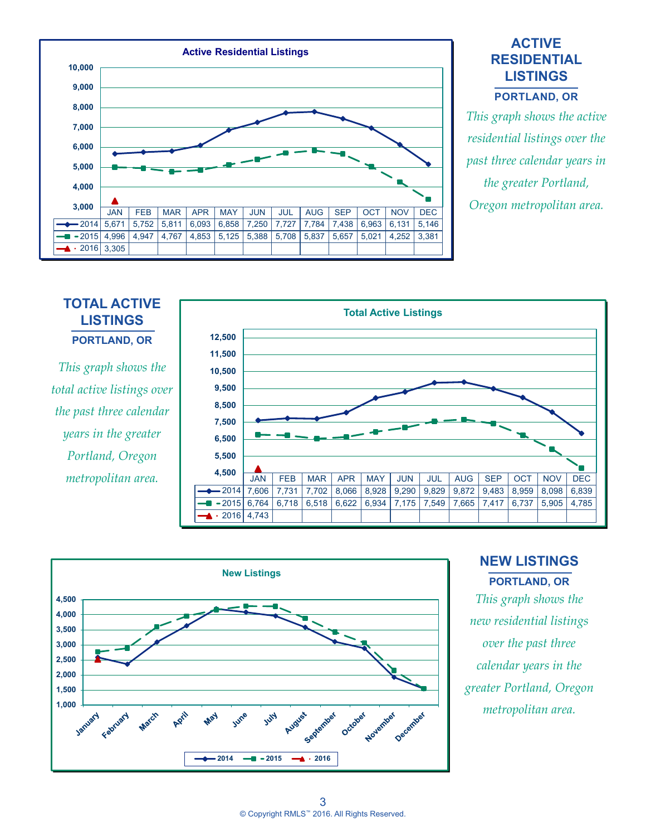

# **ACTIVE RESIDENTIAL LISTINGS**

**PORTLAND, OR**

*This graph shows the active residential listings over the past three calendar years in the greater Portland,* 

#### **TOTAL ACTIVE LISTINGS PORTLAND, OR** *This graph shows the*  **10,500 11,500 12,500**

*total active listings over the past three calendar years in the greater Portland, Oregon metropolitan area.*





# **NEW LISTINGS PORTLAND, OR**

*This graph shows the new residential listings over the past three calendar years in the greater Portland, Oregon metropolitan area.*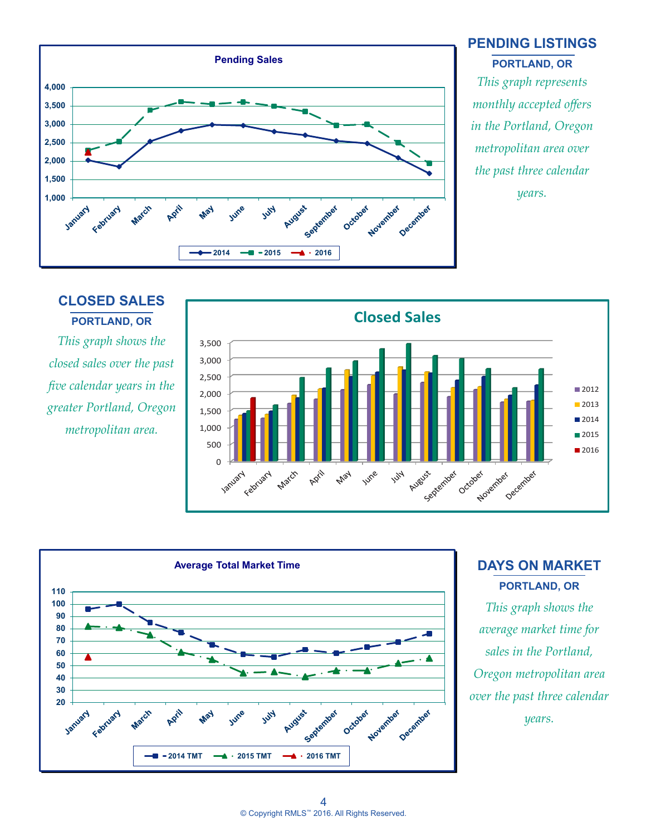

#### **PENDING LISTINGS PORTLAND, OR**

*This graph represents monthly accepted offers in the Portland, Oregon metropolitan area over the past three calendar years.*

# **CLOSED SALES PORTLAND, OR**

*This graph shows the closed sales over the past five calendar years in the greater Portland, Oregon metropolitan area.*





# **DAYS ON MARKET PORTLAND, OR**

*This graph shows the average market time for sales in the Portland, Oregon metropolitan area over the past three calendar years.*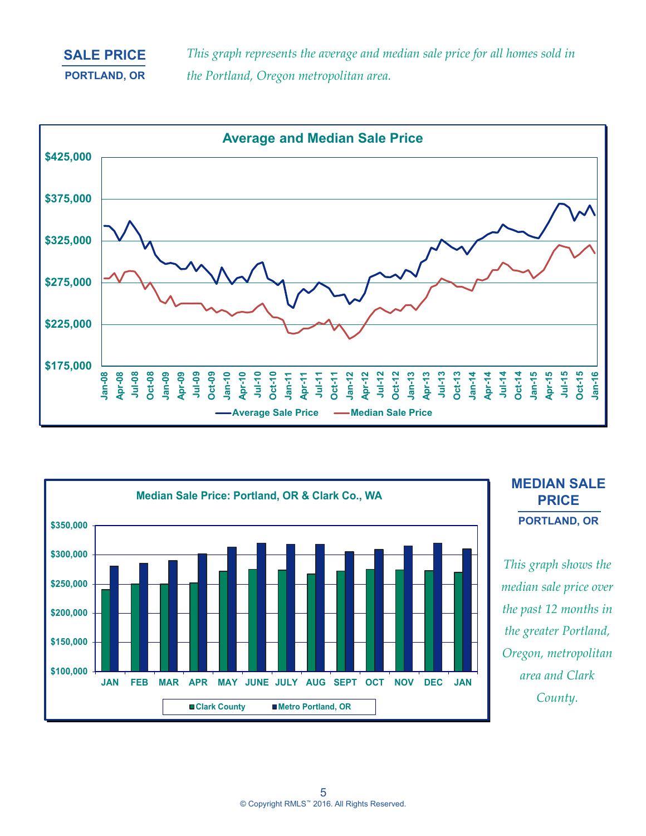## **SALE PRICE PORTLAND, OR**

*This graph represents the average and median sale price for all homes sold in the Portland, Oregon metropolitan area.*





## **MEDIAN SALE PRICE PORTLAND, OR**

*This graph shows the median sale price over the past 12 months in the greater Portland, Oregon, metropolitan area and Clark County.*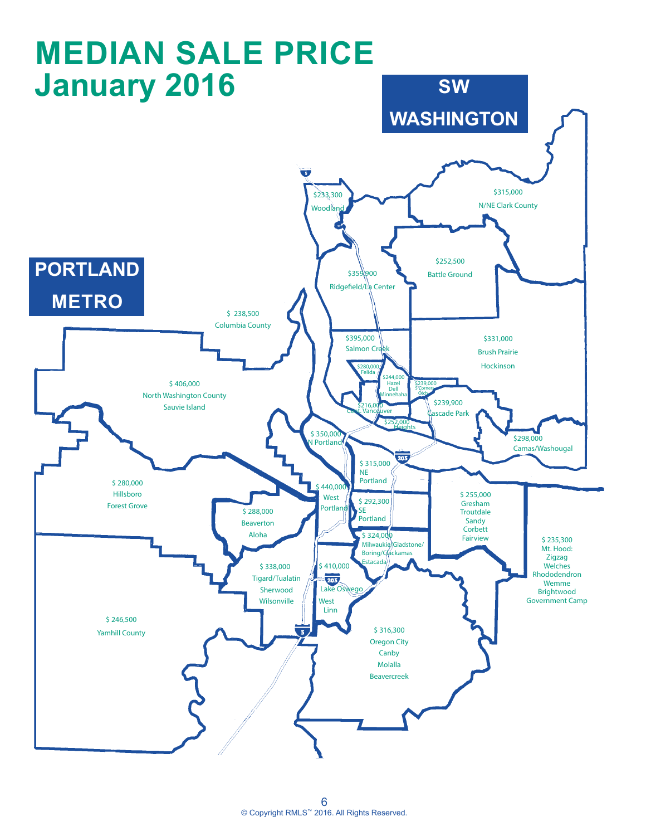